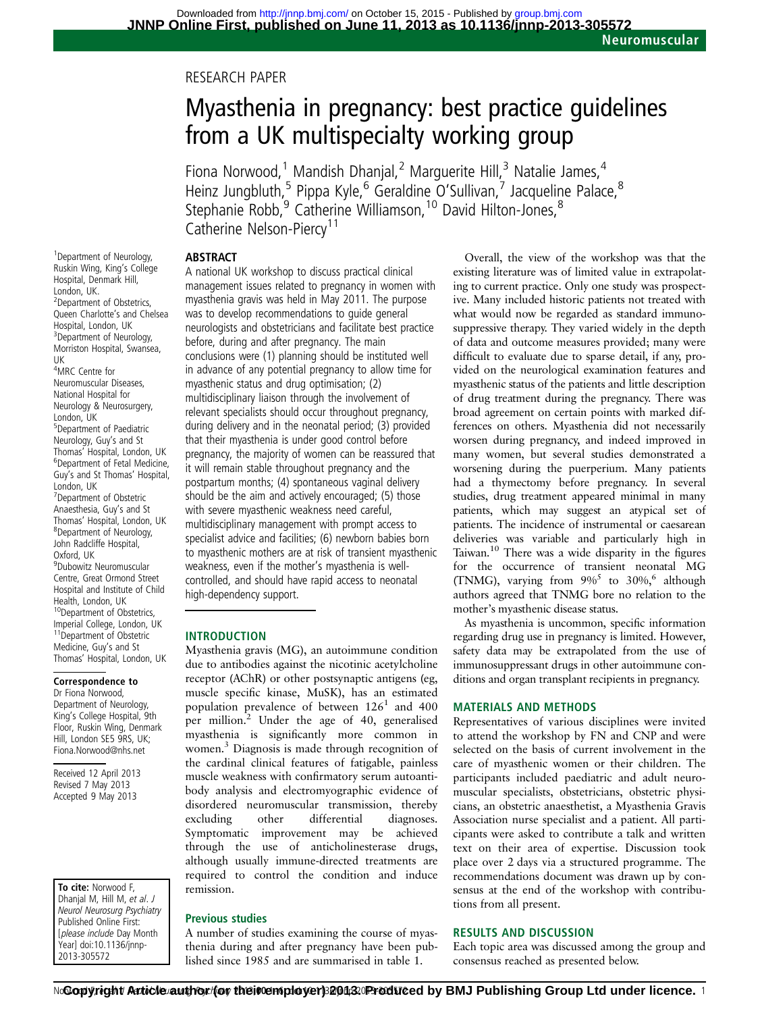# RESEARCH PAPER

# Myasthenia in pregnancy: best practice guidelines from a UK multispecialty working group

Fiona Norwood,<sup>1</sup> Mandish Dhanjal,<sup>2</sup> Marguerite Hill,<sup>3</sup> Natalie James,<sup>4</sup> Heinz Jungbluth,<sup>5</sup> Pippa Kyle,<sup>6</sup> Geraldine O'Sullivan,<sup>7</sup> Jacqueline Palace,<sup>8</sup> Stephanie Robb,<sup>9</sup> Catherine Williamson,<sup>10</sup> David Hilton-Jones,<sup>8</sup> Catherine Nelson-Piercy<sup>11</sup>

# **ABSTRACT**

A national UK workshop to discuss practical clinical management issues related to pregnancy in women with myasthenia gravis was held in May 2011. The purpose was to develop recommendations to guide general neurologists and obstetricians and facilitate best practice before, during and after pregnancy. The main conclusions were (1) planning should be instituted well in advance of any potential pregnancy to allow time for myasthenic status and drug optimisation; (2) multidisciplinary liaison through the involvement of relevant specialists should occur throughout pregnancy, during delivery and in the neonatal period; (3) provided that their myasthenia is under good control before pregnancy, the majority of women can be reassured that it will remain stable throughout pregnancy and the postpartum months; (4) spontaneous vaginal delivery should be the aim and actively encouraged; (5) those with severe myasthenic weakness need careful, multidisciplinary management with prompt access to specialist advice and facilities; (6) newborn babies born to myasthenic mothers are at risk of transient myasthenic weakness, even if the mother's myasthenia is wellcontrolled, and should have rapid access to neonatal high-dependency support.

#### INTRODUCTION

Myasthenia gravis (MG), an autoimmune condition due to antibodies against the nicotinic acetylcholine receptor (AChR) or other postsynaptic antigens (eg, muscle specific kinase, MuSK), has an estimated population prevalence of between  $126<sup>1</sup>$  and 400 per million. $^{2}$  Under the age of 40, generalised myasthenia is significantly more common in women.<sup>3</sup> Diagnosis is made through recognition of the cardinal clinical features of fatigable, painless muscle weakness with confirmatory serum autoantibody analysis and electromyographic evidence of disordered neuromuscular transmission, thereby excluding other differential diagnoses. Symptomatic improvement may be achieved through the use of anticholinesterase drugs, although usually immune-directed treatments are required to control the condition and induce remission.

#### Previous studies

A number of studies examining the course of myasthenia during and after pregnancy have been published since 1985 and are summarised in table 1.

Overall, the view of the workshop was that the existing literature was of limited value in extrapolating to current practice. Only one study was prospective. Many included historic patients not treated with what would now be regarded as standard immunosuppressive therapy. They varied widely in the depth of data and outcome measures provided; many were difficult to evaluate due to sparse detail, if any, provided on the neurological examination features and myasthenic status of the patients and little description of drug treatment during the pregnancy. There was broad agreement on certain points with marked differences on others. Myasthenia did not necessarily worsen during pregnancy, and indeed improved in many women, but several studies demonstrated a worsening during the puerperium. Many patients had a thymectomy before pregnancy. In several studies, drug treatment appeared minimal in many patients, which may suggest an atypical set of patients. The incidence of instrumental or caesarean deliveries was variable and particularly high in Taiwan.10 There was a wide disparity in the figures for the occurrence of transient neonatal MG (TNMG), varying from  $9\%^5$  to  $30\%$ , although authors agreed that TNMG bore no relation to the mother's myasthenic disease status.

As myasthenia is uncommon, specific information regarding drug use in pregnancy is limited. However, safety data may be extrapolated from the use of immunosuppressant drugs in other autoimmune conditions and organ transplant recipients in pregnancy.

#### MATERIALS AND METHODS

Representatives of various disciplines were invited to attend the workshop by FN and CNP and were selected on the basis of current involvement in the care of myasthenic women or their children. The participants included paediatric and adult neuromuscular specialists, obstetricians, obstetric physicians, an obstetric anaesthetist, a Myasthenia Gravis Association nurse specialist and a patient. All participants were asked to contribute a talk and written text on their area of expertise. Discussion took place over 2 days via a structured programme. The recommendations document was drawn up by consensus at the end of the workshop with contributions from all present.

# RESULTS AND DISCUSSION

Each topic area was discussed among the group and consensus reached as presented below.

Hospital, Denmark Hill, London, UK. <sup>2</sup>Department of Obstetrics, Queen Charlotte's and Chelsea Hospital, London, UK <sup>3</sup>Department of Neurology, Morriston Hospital, Swansea, UK 4 MRC Centre for Neuromuscular Diseases, National Hospital for Neurology & Neurosurgery, London, UK 5 Department of Paediatric Neurology, Guy's and St Thomas' Hospital, London, UK <sup>6</sup> Department of Fetal Medicine, Guy's and St Thomas' Hospital, London, UK 7 Department of Obstetric Anaesthesia, Guy's and St Thomas' Hospital, London, UK <sup>8</sup> Department of Neurology, John Radcliffe Hospital, Oxford, UK 9 Dubowitz Neuromuscular Centre, Great Ormond Street Hospital and Institute of Child Health, London, UK 10Department of Obstetrics, Imperial College, London, UK <sup>11</sup>Department of Obstetric Medicine, Guy's and St Thomas' Hospital, London, UK Correspondence to

1 Department of Neurology, Ruskin Wing, King's College

Dr Fiona Norwood, Department of Neurology, King's College Hospital, 9th Floor, Ruskin Wing, Denmark Hill, London SE5 9RS, UK; Fiona.Norwood@nhs.net

Received 12 April 2013 Revised 7 May 2013 Accepted 9 May 2013

To cite: Norwood F, Dhanjal M, Hill M, et al. J Neurol Neurosurg Psychiatry Published Online First: [please include Day Month Year] doi:10.1136/jnnp-2013-305572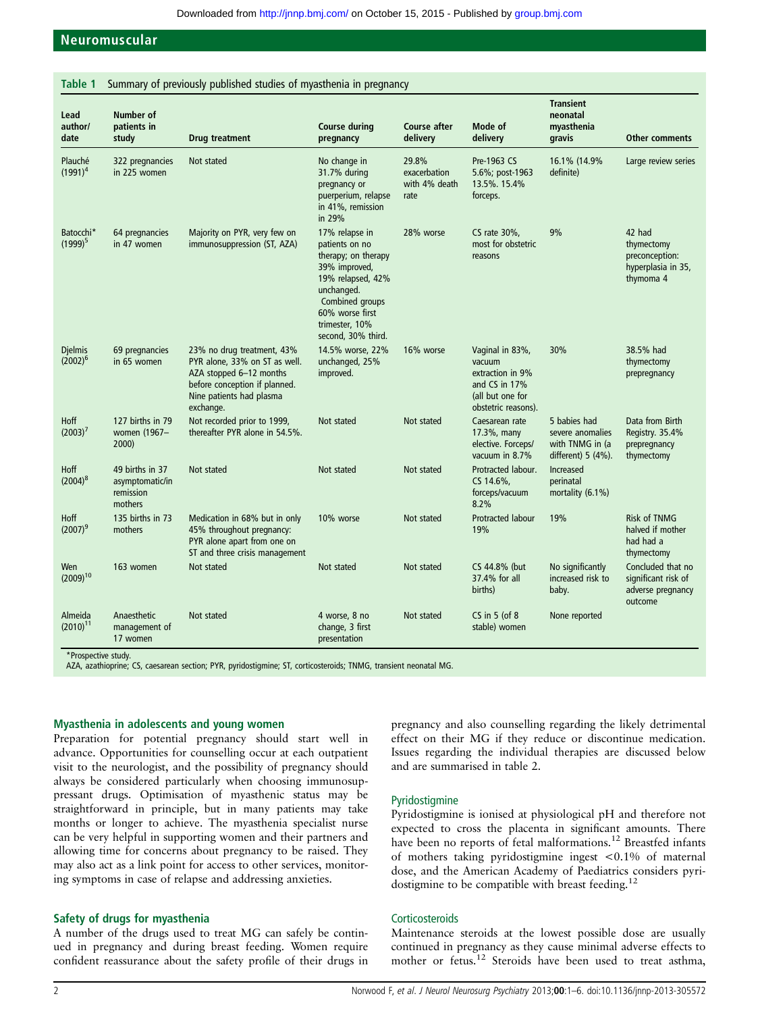# Neuromuscular

|  | Table 1 Summary of previously published studies of myasthenia in pregnancy |  |  |  |  |  |
|--|----------------------------------------------------------------------------|--|--|--|--|--|
|--|----------------------------------------------------------------------------|--|--|--|--|--|

| Lead<br>author/<br>date      | Number of<br>patients in<br>study                              | Drug treatment                                                                                                                                                   | <b>Course during</b><br>pregnancy                                                                                                                                                         | Course after<br>delivery                       | Mode of<br>delivery                                                                                       | <b>Transient</b><br>neonatal<br>myasthenia<br>gravis                        | <b>Other comments</b>                                                     |
|------------------------------|----------------------------------------------------------------|------------------------------------------------------------------------------------------------------------------------------------------------------------------|-------------------------------------------------------------------------------------------------------------------------------------------------------------------------------------------|------------------------------------------------|-----------------------------------------------------------------------------------------------------------|-----------------------------------------------------------------------------|---------------------------------------------------------------------------|
| Plauché<br>$(1991)^4$        | 322 pregnancies<br>in 225 women                                | Not stated                                                                                                                                                       | No change in<br>31.7% during<br>pregnancy or<br>puerperium, relapse<br>in 41%, remission<br>in 29%                                                                                        | 29.8%<br>exacerbation<br>with 4% death<br>rate | Pre-1963 CS<br>5.6%; post-1963<br>13.5%. 15.4%<br>forceps.                                                | 16.1% (14.9%)<br>definite)                                                  | Large review series                                                       |
| Batocchi*<br>$(1999)^5$      | 64 pregnancies<br>in 47 women                                  | Majority on PYR, very few on<br>immunosuppression (ST, AZA)                                                                                                      | 17% relapse in<br>patients on no<br>therapy; on therapy<br>39% improved,<br>19% relapsed, 42%<br>unchanged.<br>Combined groups<br>60% worse first<br>trimester, 10%<br>second, 30% third. | 28% worse                                      | CS rate 30%,<br>most for obstetric<br>reasons                                                             | 9%                                                                          | 42 had<br>thymectomy<br>preconception:<br>hyperplasia in 35,<br>thymoma 4 |
| <b>Djelmis</b><br>$(2002)^6$ | 69 pregnancies<br>in 65 women                                  | 23% no drug treatment, 43%<br>PYR alone, 33% on ST as well.<br>AZA stopped 6-12 months<br>before conception if planned.<br>Nine patients had plasma<br>exchange. | 14.5% worse, 22%<br>unchanged, 25%<br>improved.                                                                                                                                           | 16% worse                                      | Vaginal in 83%,<br>vacuum<br>extraction in 9%<br>and CS in 17%<br>(all but one for<br>obstetric reasons). | 30%                                                                         | 38.5% had<br>thymectomy<br>prepregnancy                                   |
| <b>Hoff</b><br>$(2003)^7$    | 127 births in 79<br>women (1967-<br>2000)                      | Not recorded prior to 1999,<br>thereafter PYR alone in 54.5%.                                                                                                    | Not stated                                                                                                                                                                                | Not stated                                     | Caesarean rate<br>17.3%, many<br>elective. Forceps/<br>vacuum in 8.7%                                     | 5 babies had<br>severe anomalies<br>with TNMG in (a<br>different) $5(4%)$ . | Data from Birth<br>Registry. 35.4%<br>prepregnancy<br>thymectomy          |
| Hoff<br>$(2004)^8$           | 49 births in 37<br>asymptomatic/in<br>remission<br>mothers     | Not stated                                                                                                                                                       | Not stated                                                                                                                                                                                | Not stated                                     | Protracted labour.<br>CS 14.6%,<br>forceps/vacuum<br>8.2%                                                 | Increased<br>perinatal<br>mortality (6.1%)                                  |                                                                           |
| Hoff<br>$(2007)^9$           | 135 births in 73<br>mothers                                    | Medication in 68% but in only<br>45% throughout pregnancy:<br>PYR alone apart from one on<br>ST and three crisis management                                      | 10% worse                                                                                                                                                                                 | Not stated                                     | Protracted labour<br>19%                                                                                  | 19%                                                                         | Risk of TNMG<br>halved if mother<br>had had a<br>thymectomy               |
| Wen<br>$(2009)^{10}$         | 163 women                                                      | Not stated                                                                                                                                                       | Not stated                                                                                                                                                                                | Not stated                                     | CS 44.8% (but<br>37.4% for all<br>births)                                                                 | No significantly<br>increased risk to<br>baby.                              | Concluded that no<br>significant risk of<br>adverse pregnancy<br>outcome  |
| Almeida<br>$(2010)^{11}$     | Anaesthetic<br>management of<br>17 women<br>*Procnactive study | Not stated                                                                                                                                                       | 4 worse, 8 no<br>change, 3 first<br>presentation                                                                                                                                          | Not stated                                     | $CS$ in 5 (of 8<br>stable) women                                                                          | None reported                                                               |                                                                           |

\*Prospective study. AZA, azathioprine; CS, caesarean section; PYR, pyridostigmine; ST, corticosteroids; TNMG, transient neonatal MG.

# Myasthenia in adolescents and young women

Preparation for potential pregnancy should start well in advance. Opportunities for counselling occur at each outpatient visit to the neurologist, and the possibility of pregnancy should always be considered particularly when choosing immunosuppressant drugs. Optimisation of myasthenic status may be straightforward in principle, but in many patients may take months or longer to achieve. The myasthenia specialist nurse can be very helpful in supporting women and their partners and allowing time for concerns about pregnancy to be raised. They may also act as a link point for access to other services, monitoring symptoms in case of relapse and addressing anxieties.

# Safety of drugs for myasthenia

A number of the drugs used to treat MG can safely be continued in pregnancy and during breast feeding. Women require confident reassurance about the safety profile of their drugs in

pregnancy and also counselling regarding the likely detrimental effect on their MG if they reduce or discontinue medication. Issues regarding the individual therapies are discussed below and are summarised in table 2.

#### **Pyridostiamine**

Pyridostigmine is ionised at physiological pH and therefore not expected to cross the placenta in significant amounts. There have been no reports of fetal malformations.<sup>12</sup> Breastfed infants of mothers taking pyridostigmine ingest <0.1% of maternal dose, and the American Academy of Paediatrics considers pyridostigmine to be compatible with breast feeding.<sup>12</sup>

# **Corticosteroids**

Maintenance steroids at the lowest possible dose are usually continued in pregnancy as they cause minimal adverse effects to mother or fetus.<sup>12</sup> Steroids have been used to treat asthma,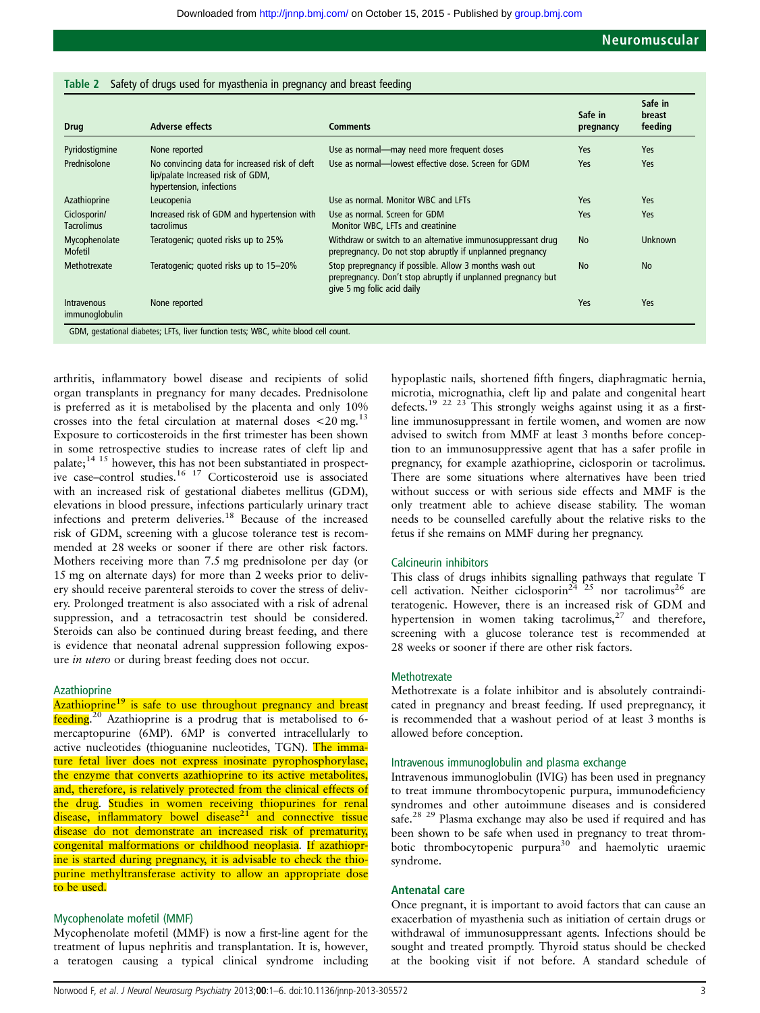#### Table 2 Safety of drugs used for myasthenia in pregnancy and breast feeding

| <b>Drug</b>                          | <b>Adverse effects</b>                                                                                          | <b>Comments</b>                                                                                                                                      | Safe in<br>pregnancy | Safe in<br>breast<br>feeding |
|--------------------------------------|-----------------------------------------------------------------------------------------------------------------|------------------------------------------------------------------------------------------------------------------------------------------------------|----------------------|------------------------------|
| Pyridostigmine                       | None reported                                                                                                   | Use as normal—may need more frequent doses                                                                                                           | Yes                  | Yes                          |
| Prednisolone                         | No convincing data for increased risk of cleft<br>lip/palate Increased risk of GDM,<br>hypertension, infections | Use as normal—lowest effective dose. Screen for GDM                                                                                                  | Yes                  | Yes                          |
| Azathioprine                         | Leucopenia                                                                                                      | Use as normal. Monitor WBC and LFTs                                                                                                                  | Yes                  | Yes                          |
| Ciclosporin/<br><b>Tacrolimus</b>    | Increased risk of GDM and hypertension with<br>tacrolimus                                                       | Use as normal. Screen for GDM<br>Monitor WBC, LFTs and creatinine                                                                                    | Yes                  | Yes                          |
| Mycophenolate<br>Mofetil             | Teratogenic; quoted risks up to 25%                                                                             | Withdraw or switch to an alternative immunosuppressant drug<br>prepregnancy. Do not stop abruptly if unplanned pregnancy                             | <b>No</b>            | <b>Unknown</b>               |
| Methotrexate                         | Teratogenic; guoted risks up to 15-20%                                                                          | Stop prepregnancy if possible. Allow 3 months wash out<br>prepregnancy. Don't stop abruptly if unplanned pregnancy but<br>give 5 mg folic acid daily | <b>No</b>            | <b>No</b>                    |
| <b>Intravenous</b><br>immunoglobulin | None reported                                                                                                   |                                                                                                                                                      | Yes                  | Yes                          |

arthritis, inflammatory bowel disease and recipients of solid organ transplants in pregnancy for many decades. Prednisolone is preferred as it is metabolised by the placenta and only 10% crosses into the fetal circulation at maternal doses  $\leq 20$  mg.<sup>13</sup> Exposure to corticosteroids in the first trimester has been shown in some retrospective studies to increase rates of cleft lip and palate; $^{14}$ <sup>15</sup> however, this has not been substantiated in prospective case-control studies.<sup>16 17</sup> Corticosteroid use is associated with an increased risk of gestational diabetes mellitus (GDM), elevations in blood pressure, infections particularly urinary tract infections and preterm deliveries.<sup>18</sup> Because of the increased risk of GDM, screening with a glucose tolerance test is recommended at 28 weeks or sooner if there are other risk factors. Mothers receiving more than 7.5 mg prednisolone per day (or 15 mg on alternate days) for more than 2 weeks prior to delivery should receive parenteral steroids to cover the stress of delivery. Prolonged treatment is also associated with a risk of adrenal suppression, and a tetracosactrin test should be considered. Steroids can also be continued during breast feeding, and there is evidence that neonatal adrenal suppression following exposure in utero or during breast feeding does not occur.

#### Azathioprine

Azathioprine<sup>19</sup> is safe to use throughout pregnancy and breast feeding.<sup>20</sup> Azathioprine is a prodrug that is metabolised to 6 mercaptopurine (6MP). 6MP is converted intracellularly to active nucleotides (thioguanine nucleotides, TGN). The immature fetal liver does not express inosinate pyrophosphorylase, the enzyme that converts azathioprine to its active metabolites, and, therefore, is relatively protected from the clinical effects of the drug. Studies in women receiving thiopurines for renal disease, inflammatory bowel disease<sup>21</sup> and connective tissue disease do not demonstrate an increased risk of prematurity, congenital malformations or childhood neoplasia. If azathioprine is started during pregnancy, it is advisable to check the thiopurine methyltransferase activity to allow an appropriate dose to be used.

# Mycophenolate mofetil (MMF)

Mycophenolate mofetil (MMF) is now a first-line agent for the treatment of lupus nephritis and transplantation. It is, however, a teratogen causing a typical clinical syndrome including hypoplastic nails, shortened fifth fingers, diaphragmatic hernia, microtia, micrognathia, cleft lip and palate and congenital heart defects.<sup>19 22 23</sup> This strongly weighs against using it as a firstline immunosuppressant in fertile women, and women are now advised to switch from MMF at least 3 months before conception to an immunosuppressive agent that has a safer profile in pregnancy, for example azathioprine, ciclosporin or tacrolimus. There are some situations where alternatives have been tried without success or with serious side effects and MMF is the only treatment able to achieve disease stability. The woman needs to be counselled carefully about the relative risks to the fetus if she remains on MMF during her pregnancy.

#### Calcineurin inhibitors

This class of drugs inhibits signalling pathways that regulate T cell activation. Neither ciclosporin<sup>24 25</sup> nor tacrolimus<sup>26</sup> are teratogenic. However, there is an increased risk of GDM and hypertension in women taking tacrolimus,<sup>27</sup> and therefore, screening with a glucose tolerance test is recommended at 28 weeks or sooner if there are other risk factors.

#### **Methotrexate**

Methotrexate is a folate inhibitor and is absolutely contraindicated in pregnancy and breast feeding. If used prepregnancy, it is recommended that a washout period of at least 3 months is allowed before conception.

#### Intravenous immunoglobulin and plasma exchange

Intravenous immunoglobulin (IVIG) has been used in pregnancy to treat immune thrombocytopenic purpura, immunodeficiency syndromes and other autoimmune diseases and is considered safe.<sup>28 29</sup> Plasma exchange may also be used if required and has been shown to be safe when used in pregnancy to treat thrombotic thrombocytopenic purpura<sup>30</sup> and haemolytic uraemic syndrome.

#### Antenatal care

Once pregnant, it is important to avoid factors that can cause an exacerbation of myasthenia such as initiation of certain drugs or withdrawal of immunosuppressant agents. Infections should be sought and treated promptly. Thyroid status should be checked at the booking visit if not before. A standard schedule of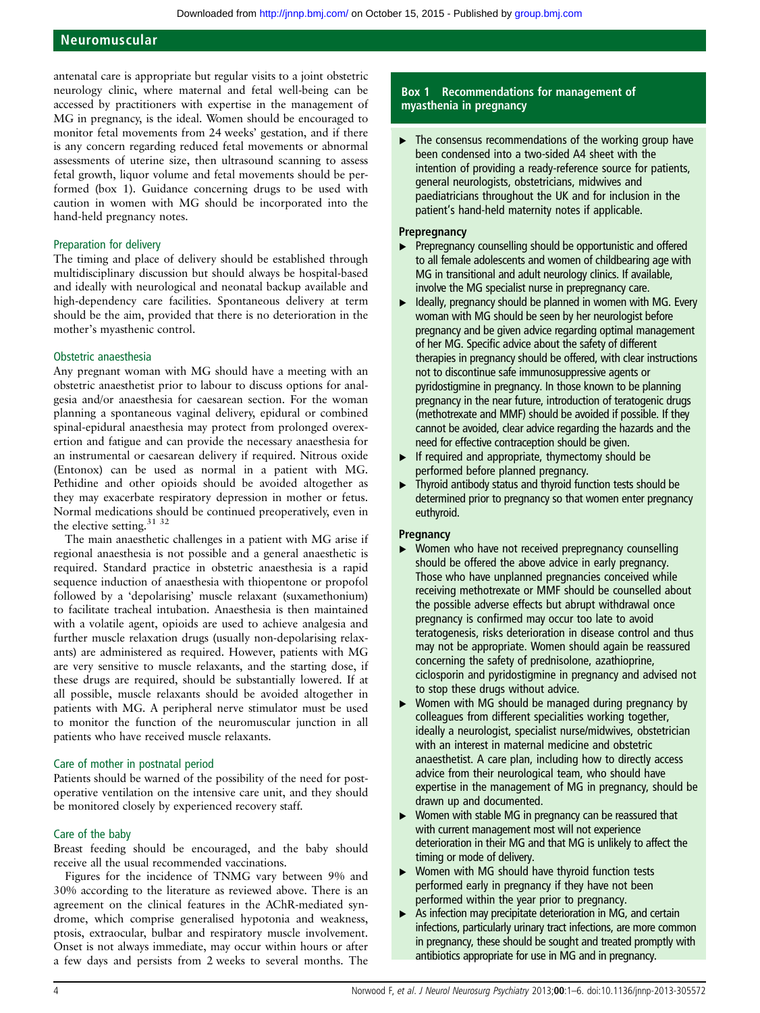# Neuromuscular

antenatal care is appropriate but regular visits to a joint obstetric neurology clinic, where maternal and fetal well-being can be accessed by practitioners with expertise in the management of MG in pregnancy, is the ideal. Women should be encouraged to monitor fetal movements from 24 weeks' gestation, and if there is any concern regarding reduced fetal movements or abnormal assessments of uterine size, then ultrasound scanning to assess fetal growth, liquor volume and fetal movements should be performed (box 1). Guidance concerning drugs to be used with caution in women with MG should be incorporated into the hand-held pregnancy notes.

# Preparation for delivery

The timing and place of delivery should be established through multidisciplinary discussion but should always be hospital-based and ideally with neurological and neonatal backup available and high-dependency care facilities. Spontaneous delivery at term should be the aim, provided that there is no deterioration in the mother's myasthenic control.

# Obstetric anaesthesia

Any pregnant woman with MG should have a meeting with an obstetric anaesthetist prior to labour to discuss options for analgesia and/or anaesthesia for caesarean section. For the woman planning a spontaneous vaginal delivery, epidural or combined spinal-epidural anaesthesia may protect from prolonged overexertion and fatigue and can provide the necessary anaesthesia for an instrumental or caesarean delivery if required. Nitrous oxide (Entonox) can be used as normal in a patient with MG. Pethidine and other opioids should be avoided altogether as they may exacerbate respiratory depression in mother or fetus. Normal medications should be continued preoperatively, even in the elective setting.<sup>31 32</sup>

The main anaesthetic challenges in a patient with MG arise if regional anaesthesia is not possible and a general anaesthetic is required. Standard practice in obstetric anaesthesia is a rapid sequence induction of anaesthesia with thiopentone or propofol followed by a 'depolarising' muscle relaxant (suxamethonium) to facilitate tracheal intubation. Anaesthesia is then maintained with a volatile agent, opioids are used to achieve analgesia and further muscle relaxation drugs (usually non-depolarising relaxants) are administered as required. However, patients with MG are very sensitive to muscle relaxants, and the starting dose, if these drugs are required, should be substantially lowered. If at all possible, muscle relaxants should be avoided altogether in patients with MG. A peripheral nerve stimulator must be used to monitor the function of the neuromuscular junction in all patients who have received muscle relaxants.

# Care of mother in postnatal period

Patients should be warned of the possibility of the need for postoperative ventilation on the intensive care unit, and they should be monitored closely by experienced recovery staff.

# Care of the baby

Breast feeding should be encouraged, and the baby should receive all the usual recommended vaccinations.

Figures for the incidence of TNMG vary between 9% and 30% according to the literature as reviewed above. There is an agreement on the clinical features in the AChR-mediated syndrome, which comprise generalised hypotonia and weakness, ptosis, extraocular, bulbar and respiratory muscle involvement. Onset is not always immediate, may occur within hours or after a few days and persists from 2 weeks to several months. The

# Box 1 Recommendations for management of myasthenia in pregnancy

 $\blacktriangleright$  The consensus recommendations of the working group have been condensed into a two-sided A4 sheet with the intention of providing a ready-reference source for patients, general neurologists, obstetricians, midwives and paediatricians throughout the UK and for inclusion in the patient's hand-held maternity notes if applicable.

# **Prepregnancy**

- ▸ Prepregnancy counselling should be opportunistic and offered to all female adolescents and women of childbearing age with MG in transitional and adult neurology clinics. If available, involve the MG specialist nurse in prepregnancy care.
- ▸ Ideally, pregnancy should be planned in women with MG. Every woman with MG should be seen by her neurologist before pregnancy and be given advice regarding optimal management of her MG. Specific advice about the safety of different therapies in pregnancy should be offered, with clear instructions not to discontinue safe immunosuppressive agents or pyridostigmine in pregnancy. In those known to be planning pregnancy in the near future, introduction of teratogenic drugs (methotrexate and MMF) should be avoided if possible. If they cannot be avoided, clear advice regarding the hazards and the need for effective contraception should be given.
- $\blacktriangleright$  If required and appropriate, thymectomy should be performed before planned pregnancy.
- ▸ Thyroid antibody status and thyroid function tests should be determined prior to pregnancy so that women enter pregnancy euthyroid.

# **Pregnancy**

- ▸ Women who have not received prepregnancy counselling should be offered the above advice in early pregnancy. Those who have unplanned pregnancies conceived while receiving methotrexate or MMF should be counselled about the possible adverse effects but abrupt withdrawal once pregnancy is confirmed may occur too late to avoid teratogenesis, risks deterioration in disease control and thus may not be appropriate. Women should again be reassured concerning the safety of prednisolone, azathioprine, ciclosporin and pyridostigmine in pregnancy and advised not to stop these drugs without advice.
- ▸ Women with MG should be managed during pregnancy by colleagues from different specialities working together, ideally a neurologist, specialist nurse/midwives, obstetrician with an interest in maternal medicine and obstetric anaesthetist. A care plan, including how to directly access advice from their neurological team, who should have expertise in the management of MG in pregnancy, should be drawn up and documented.
- ▸ Women with stable MG in pregnancy can be reassured that with current management most will not experience deterioration in their MG and that MG is unlikely to affect the timing or mode of delivery.
- ▸ Women with MG should have thyroid function tests performed early in pregnancy if they have not been performed within the year prior to pregnancy.
- As infection may precipitate deterioration in MG, and certain infections, particularly urinary tract infections, are more common in pregnancy, these should be sought and treated promptly with antibiotics appropriate for use in MG and in pregnancy.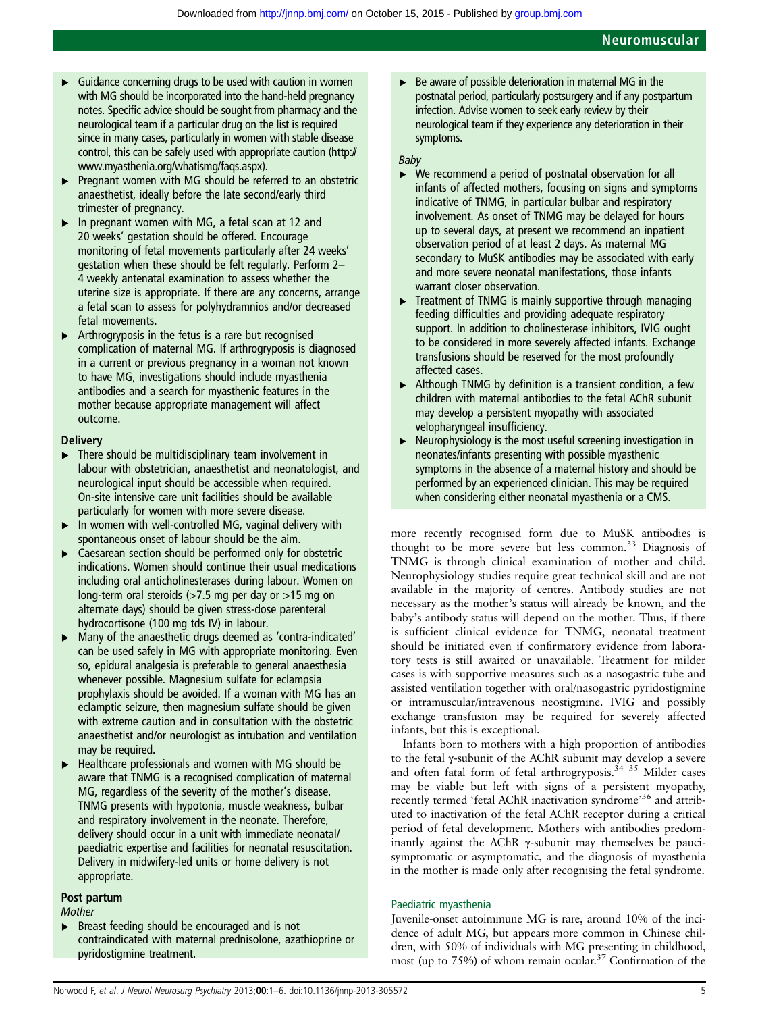- $\blacktriangleright$  Guidance concerning drugs to be used with caution in women with MG should be incorporated into the hand-held pregnancy notes. Specific advice should be sought from pharmacy and the neurological team if a particular drug on the list is required since in many cases, particularly in women with stable disease control, this can be safely used with appropriate caution [\(http://](http://www.myasthenia.org/whatismg/faqs.aspx) [www.myasthenia.org/whatismg/faqs.aspx](http://www.myasthenia.org/whatismg/faqs.aspx)).
- ▶ Pregnant women with MG should be referred to an obstetric anaesthetist, ideally before the late second/early third trimester of pregnancy.
- ▸ In pregnant women with MG, a fetal scan at 12 and 20 weeks' gestation should be offered. Encourage monitoring of fetal movements particularly after 24 weeks' gestation when these should be felt regularly. Perform 2– 4 weekly antenatal examination to assess whether the uterine size is appropriate. If there are any concerns, arrange a fetal scan to assess for polyhydramnios and/or decreased fetal movements.
- $\blacktriangleright$  Arthrogryposis in the fetus is a rare but recognised complication of maternal MG. If arthrogryposis is diagnosed in a current or previous pregnancy in a woman not known to have MG, investigations should include myasthenia antibodies and a search for myasthenic features in the mother because appropriate management will affect outcome.

# **Delivery**

- ▸ There should be multidisciplinary team involvement in labour with obstetrician, anaesthetist and neonatologist, and neurological input should be accessible when required. On-site intensive care unit facilities should be available particularly for women with more severe disease.
- $\triangleright$  In women with well-controlled MG, vaginal delivery with spontaneous onset of labour should be the aim.
- ▶ Caesarean section should be performed only for obstetric indications. Women should continue their usual medications including oral anticholinesterases during labour. Women on long-term oral steroids (>7.5 mg per day or >15 mg on alternate days) should be given stress-dose parenteral hydrocortisone (100 mg tds IV) in labour.
- ▸ Many of the anaesthetic drugs deemed as 'contra-indicated' can be used safely in MG with appropriate monitoring. Even so, epidural analgesia is preferable to general anaesthesia whenever possible. Magnesium sulfate for eclampsia prophylaxis should be avoided. If a woman with MG has an eclamptic seizure, then magnesium sulfate should be given with extreme caution and in consultation with the obstetric anaesthetist and/or neurologist as intubation and ventilation may be required.
- ▸ Healthcare professionals and women with MG should be aware that TNMG is a recognised complication of maternal MG, regardless of the severity of the mother's disease. TNMG presents with hypotonia, muscle weakness, bulbar and respiratory involvement in the neonate. Therefore, delivery should occur in a unit with immediate neonatal/ paediatric expertise and facilities for neonatal resuscitation. Delivery in midwifery-led units or home delivery is not appropriate.

#### Post partum

**Mother** 

▶ Breast feeding should be encouraged and is not contraindicated with maternal prednisolone, azathioprine or pyridostigmine treatment.

 $\triangleright$  Be aware of possible deterioration in maternal MG in the postnatal period, particularly postsurgery and if any postpartum infection. Advise women to seek early review by their neurological team if they experience any deterioration in their symptoms.

# Baby

- ▸ We recommend a period of postnatal observation for all infants of affected mothers, focusing on signs and symptoms indicative of TNMG, in particular bulbar and respiratory involvement. As onset of TNMG may be delayed for hours up to several days, at present we recommend an inpatient observation period of at least 2 days. As maternal MG secondary to MuSK antibodies may be associated with early and more severe neonatal manifestations, those infants warrant closer observation.
- ► Treatment of TNMG is mainly supportive through managing feeding difficulties and providing adequate respiratory support. In addition to cholinesterase inhibitors, IVIG ought to be considered in more severely affected infants. Exchange transfusions should be reserved for the most profoundly affected cases.
- ► Although TNMG by definition is a transient condition, a few children with maternal antibodies to the fetal AChR subunit may develop a persistent myopathy with associated velopharyngeal insufficiency.
- ▸ Neurophysiology is the most useful screening investigation in neonates/infants presenting with possible myasthenic symptoms in the absence of a maternal history and should be performed by an experienced clinician. This may be required when considering either neonatal myasthenia or a CMS.

more recently recognised form due to MuSK antibodies is thought to be more severe but less common.<sup>33</sup> Diagnosis of TNMG is through clinical examination of mother and child. Neurophysiology studies require great technical skill and are not available in the majority of centres. Antibody studies are not necessary as the mother's status will already be known, and the baby's antibody status will depend on the mother. Thus, if there is sufficient clinical evidence for TNMG, neonatal treatment should be initiated even if confirmatory evidence from laboratory tests is still awaited or unavailable. Treatment for milder cases is with supportive measures such as a nasogastric tube and assisted ventilation together with oral/nasogastric pyridostigmine or intramuscular/intravenous neostigmine. IVIG and possibly exchange transfusion may be required for severely affected infants, but this is exceptional.

Infants born to mothers with a high proportion of antibodies to the fetal γ-subunit of the AChR subunit may develop a severe and often fatal form of fetal arthrogryposis.<sup>34</sup> <sup>35</sup> Milder cases may be viable but left with signs of a persistent myopathy, recently termed 'fetal AChR inactivation syndrome'<sup>36</sup> and attributed to inactivation of the fetal AChR receptor during a critical period of fetal development. Mothers with antibodies predominantly against the AChR γ-subunit may themselves be paucisymptomatic or asymptomatic, and the diagnosis of myasthenia in the mother is made only after recognising the fetal syndrome.

# Paediatric myasthenia

Juvenile-onset autoimmune MG is rare, around 10% of the incidence of adult MG, but appears more common in Chinese children, with 50% of individuals with MG presenting in childhood, most (up to 75%) of whom remain ocular.<sup>37</sup> Confirmation of the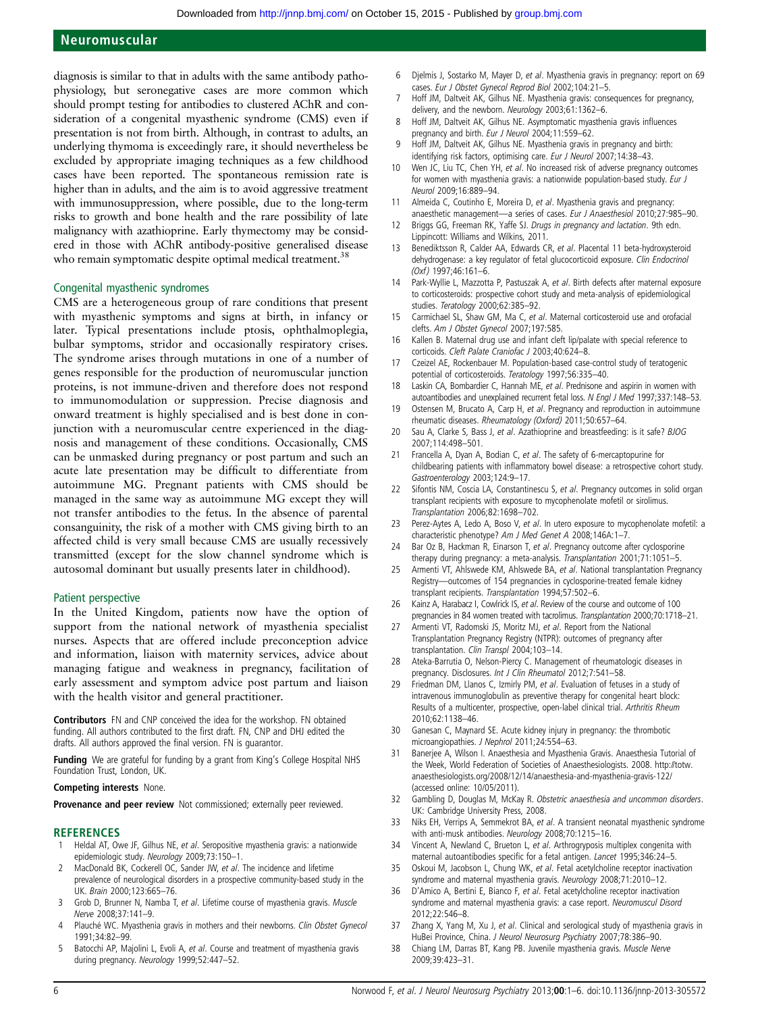# Neuromuscular

diagnosis is similar to that in adults with the same antibody pathophysiology, but seronegative cases are more common which should prompt testing for antibodies to clustered AChR and consideration of a congenital myasthenic syndrome (CMS) even if presentation is not from birth. Although, in contrast to adults, an underlying thymoma is exceedingly rare, it should nevertheless be excluded by appropriate imaging techniques as a few childhood cases have been reported. The spontaneous remission rate is higher than in adults, and the aim is to avoid aggressive treatment with immunosuppression, where possible, due to the long-term risks to growth and bone health and the rare possibility of late malignancy with azathioprine. Early thymectomy may be considered in those with AChR antibody-positive generalised disease who remain symptomatic despite optimal medical treatment.<sup>38</sup>

#### Congenital myasthenic syndromes

CMS are a heterogeneous group of rare conditions that present with myasthenic symptoms and signs at birth, in infancy or later. Typical presentations include ptosis, ophthalmoplegia, bulbar symptoms, stridor and occasionally respiratory crises. The syndrome arises through mutations in one of a number of genes responsible for the production of neuromuscular junction proteins, is not immune-driven and therefore does not respond to immunomodulation or suppression. Precise diagnosis and onward treatment is highly specialised and is best done in conjunction with a neuromuscular centre experienced in the diagnosis and management of these conditions. Occasionally, CMS can be unmasked during pregnancy or post partum and such an acute late presentation may be difficult to differentiate from autoimmune MG. Pregnant patients with CMS should be managed in the same way as autoimmune MG except they will not transfer antibodies to the fetus. In the absence of parental consanguinity, the risk of a mother with CMS giving birth to an affected child is very small because CMS are usually recessively transmitted (except for the slow channel syndrome which is autosomal dominant but usually presents later in childhood).

#### Patient perspective

In the United Kingdom, patients now have the option of support from the national network of myasthenia specialist nurses. Aspects that are offered include preconception advice and information, liaison with maternity services, advice about managing fatigue and weakness in pregnancy, facilitation of early assessment and symptom advice post partum and liaison with the health visitor and general practitioner.

Contributors FN and CNP conceived the idea for the workshop. FN obtained funding. All authors contributed to the first draft. FN, CNP and DHJ edited the drafts. All authors approved the final version. FN is guarantor.

Funding We are grateful for funding by a grant from King's College Hospital NHS Foundation Trust, London, UK.

#### Competing interests None.

Provenance and peer review Not commissioned; externally peer reviewed.

#### **REFERENCES**

- Heldal AT, Owe JF, Gilhus NE, et al. Seropositive myasthenia gravis: a nationwide epidemiologic study. Neurology 2009;73:150–1.
- 2 MacDonald BK, Cockerell OC, Sander JW, et al. The incidence and lifetime prevalence of neurological disorders in a prospective community-based study in the UK. Brain 2000;123:665–76.
- 3 Grob D, Brunner N, Namba T, et al. Lifetime course of myasthenia gravis. Muscle Nerve 2008;37:141–9.
- Plauché WC. Myasthenia gravis in mothers and their newborns. Clin Obstet Gynecol 1991;34:82–99.
- 5 Batocchi AP, Majolini L, Evoli A, et al. Course and treatment of myasthenia gravis during pregnancy. Neurology 1999;52:447–52.
- 6 Djelmis J, Sostarko M, Mayer D, et al. Myasthenia gravis in pregnancy: report on 69 cases. Eur J Obstet Gynecol Reprod Biol 2002;104:21–5.
- 7 Hoff JM, Daltveit AK, Gilhus NE. Myasthenia gravis: consequences for pregnancy, delivery, and the newborn. Neurology 2003;61:1362–6.
- 8 Hoff JM, Daltveit AK, Gilhus NE. Asymptomatic myasthenia gravis influences pregnancy and birth. Eur J Neurol 2004;11:559–62.
- Hoff JM, Daltveit AK, Gilhus NE. Myasthenia gravis in pregnancy and birth: identifying risk factors, optimising care. Eur J Neurol 2007;14:38–43.
- 10 Wen JC, Liu TC, Chen YH, et al. No increased risk of adverse pregnancy outcomes for women with myasthenia gravis: a nationwide population-based study. Eur J Neurol 2009;16:889–94.
- 11 Almeida C, Coutinho E, Moreira D, et al. Myasthenia gravis and pregnancy: anaesthetic management—a series of cases. Eur J Anaesthesiol 2010;27:985–90.
- 12 Briggs GG, Freeman RK, Yaffe SJ. Drugs in pregnancy and lactation. 9th edn. Lippincott: Williams and Wilkins, 2011.
- 13 Benediktsson R, Calder AA, Edwards CR, et al. Placental 11 beta-hydroxysteroid dehydrogenase: a key regulator of fetal glucocorticoid exposure. Clin Endocrinol  $(Qx)$  1997;46;161-6
- 14 Park-Wyllie L, Mazzotta P, Pastuszak A, et al. Birth defects after maternal exposure to corticosteroids: prospective cohort study and meta-analysis of epidemiological studies. Teratology 2000;62:385–92.
- 15 Carmichael SL, Shaw GM, Ma C, et al. Maternal corticosteroid use and orofacial clefts. Am J Obstet Gynecol 2007;197:585.
- 16 Kallen B. Maternal drug use and infant cleft lip/palate with special reference to corticoids. Cleft Palate Craniofac J 2003;40:624–8.
- 17 Czeizel AE, Rockenbauer M. Population-based case-control study of teratogenic potential of corticosteroids. Teratology 1997;56:335–40.
- 18 Laskin CA, Bombardier C, Hannah ME, et al. Prednisone and aspirin in women with autoantibodies and unexplained recurrent fetal loss. N Engl J Med 1997;337:148-53.
- 19 Ostensen M, Brucato A, Carp H, et al. Pregnancy and reproduction in autoimmune rheumatic diseases. Rheumatology (Oxford) 2011;50:657–64.
- 20 Sau A, Clarke S, Bass J, et al. Azathioprine and breastfeeding: is it safe? BJOG 2007;114:498–501.
- 21 Francella A, Dyan A, Bodian C, et al. The safety of 6-mercaptopurine for childbearing patients with inflammatory bowel disease: a retrospective cohort study. Gastroenterology 2003;124:9–17.
- 22 Sifontis NM, Coscia LA, Constantinescu S, et al. Pregnancy outcomes in solid organ transplant recipients with exposure to mycophenolate mofetil or sirolimus. Transplantation 2006;82:1698–702.
- 23 Perez-Aytes A, Ledo A, Boso V, et al. In utero exposure to mycophenolate mofetil: a characteristic phenotype? Am J Med Genet A 2008;146A:1-7.
- 24 Bar Oz B, Hackman R, Einarson T, et al. Pregnancy outcome after cyclosporine therapy during pregnancy: a meta-analysis. Transplantation 2001;71:1051–5.
- 25 Armenti VT, Ahlswede KM, Ahlswede BA, et al. National transplantation Pregnancy Registry—outcomes of 154 pregnancies in cyclosporine-treated female kidney transplant recipients. Transplantation 1994;57:502–6.
- 26 Kainz A, Harabacz I, Cowlrick IS, et al. Review of the course and outcome of 100 pregnancies in 84 women treated with tacrolimus. Transplantation 2000;70:1718–21.
- 27 Armenti VT, Radomski JS, Moritz MJ, et al. Report from the National Transplantation Pregnancy Registry (NTPR): outcomes of pregnancy after transplantation. Clin Transpl 2004;103–14.
- 28 Ateka-Barrutia O, Nelson-Piercy C. Management of rheumatologic diseases in pregnancy. Disclosures. Int J Clin Rheumatol 2012;7:541-58.
- 29 Friedman DM, Llanos C, Izmirly PM, et al. Evaluation of fetuses in a study of intravenous immunoglobulin as preventive therapy for congenital heart block: Results of a multicenter, prospective, open-label clinical trial. Arthritis Rheum 2010;62:1138–46.
- 30 Ganesan C, Maynard SE. Acute kidney injury in pregnancy: the thrombotic microangiopathies. J Nephrol 2011;24:554–63.
- 31 Banerjee A, Wilson I. Anaesthesia and Myasthenia Gravis. Anaesthesia Tutorial of the Week, World Federation of Societies of Anaesthesiologists. 2008. [http://totw.](http://totw.anaesthesiologists.org/2008/12/14/anaesthesia-and-myasthenia-gravis-122/) [anaesthesiologists.org/2008/12/14/anaesthesia-and-myasthenia-gravis-122/](http://totw.anaesthesiologists.org/2008/12/14/anaesthesia-and-myasthenia-gravis-122/) (accessed online: 10/05/2011).
- 32 Gambling D, Douglas M, McKay R. Obstetric anaesthesia and uncommon disorders. UK: Cambridge University Press, 2008.
- 33 Niks EH, Verrips A, Semmekrot BA, et al. A transient neonatal myasthenic syndrome with anti-musk antibodies. Neurology 2008;70:1215–16.
- 34 Vincent A, Newland C, Brueton L, et al. Arthrogryposis multiplex congenita with maternal autoantibodies specific for a fetal antigen. Lancet 1995;346:24-5.
- 35 Oskoui M, Jacobson L, Chung WK, et al. Fetal acetylcholine receptor inactivation syndrome and maternal myasthenia gravis. Neurology 2008;71:2010–12.
- 36 D'Amico A, Bertini E, Bianco F, et al. Fetal acetylcholine receptor inactivation syndrome and maternal myasthenia gravis: a case report. Neuromuscul Disord 2012;22:546–8.
- 37 Zhang X, Yang M, Xu J, et al. Clinical and serological study of myasthenia gravis in HuBei Province, China. J Neurol Neurosurg Psychiatry 2007;78:386–90.
- 38 Chiang LM, Darras BT, Kang PB. Juvenile myasthenia gravis. Muscle Nerve 2009;39:423–31.